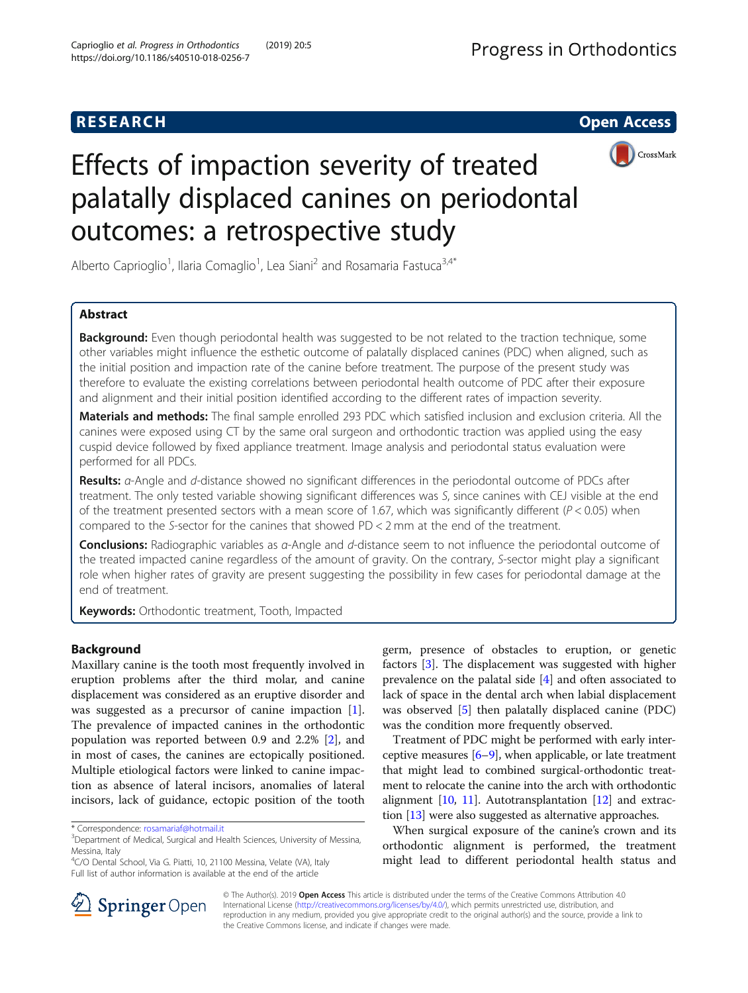

# Effects of impaction severity of treated palatally displaced canines on periodontal outcomes: a retrospective study

Alberto Caprioglio<sup>1</sup>, Ilaria Comaglio<sup>1</sup>, Lea Siani<sup>2</sup> and Rosamaria Fastuca<sup>3,4\*</sup>

# Abstract

**Background:** Even though periodontal health was suggested to be not related to the traction technique, some other variables might influence the esthetic outcome of palatally displaced canines (PDC) when aligned, such as the initial position and impaction rate of the canine before treatment. The purpose of the present study was therefore to evaluate the existing correlations between periodontal health outcome of PDC after their exposure and alignment and their initial position identified according to the different rates of impaction severity.

Materials and methods: The final sample enrolled 293 PDC which satisfied inclusion and exclusion criteria. All the canines were exposed using CT by the same oral surgeon and orthodontic traction was applied using the easy cuspid device followed by fixed appliance treatment. Image analysis and periodontal status evaluation were performed for all PDCs.

Results: *a*-Angle and *d*-distance showed no significant differences in the periodontal outcome of PDCs after treatment. The only tested variable showing significant differences was S, since canines with CEJ visible at the end of the treatment presented sectors with a mean score of 1.67, which was significantly different ( $P < 0.05$ ) when compared to the S-sector for the canines that showed PD < 2 mm at the end of the treatment.

Conclusions: Radiographic variables as *α*-Angle and *d*-distance seem to not influence the periodontal outcome of the treated impacted canine regardless of the amount of gravity. On the contrary, S-sector might play a significant role when higher rates of gravity are present suggesting the possibility in few cases for periodontal damage at the end of treatment.

**Keywords:** Orthodontic treatment, Tooth, Impacted

# Background

Maxillary canine is the tooth most frequently involved in eruption problems after the third molar, and canine displacement was considered as an eruptive disorder and was suggested as a precursor of canine impaction [\[1](#page-6-0)]. The prevalence of impacted canines in the orthodontic population was reported between 0.9 and 2.2% [\[2](#page-6-0)], and in most of cases, the canines are ectopically positioned. Multiple etiological factors were linked to canine impaction as absence of lateral incisors, anomalies of lateral incisors, lack of guidance, ectopic position of the tooth

germ, presence of obstacles to eruption, or genetic factors [[3\]](#page-6-0). The displacement was suggested with higher prevalence on the palatal side [[4\]](#page-6-0) and often associated to lack of space in the dental arch when labial displacement was observed [[5\]](#page-6-0) then palatally displaced canine (PDC) was the condition more frequently observed.

Treatment of PDC might be performed with early interceptive measures [[6](#page-6-0)–[9](#page-6-0)], when applicable, or late treatment that might lead to combined surgical-orthodontic treatment to relocate the canine into the arch with orthodontic alignment  $[10, 11]$  $[10, 11]$  $[10, 11]$ . Autotransplantation  $[12]$  $[12]$  and extraction [\[13\]](#page-6-0) were also suggested as alternative approaches.

When surgical exposure of the canine's crown and its orthodontic alignment is performed, the treatment might lead to different periodontal health status and



© The Author(s). 2019 Open Access This article is distributed under the terms of the Creative Commons Attribution 4.0 International License ([http://creativecommons.org/licenses/by/4.0/\)](http://creativecommons.org/licenses/by/4.0/), which permits unrestricted use, distribution, and reproduction in any medium, provided you give appropriate credit to the original author(s) and the source, provide a link to the Creative Commons license, and indicate if changes were made.

<sup>\*</sup> Correspondence: [rosamariaf@hotmail.it](mailto:rosamariaf@hotmail.it) <sup>3</sup>

<sup>&</sup>lt;sup>3</sup>Department of Medical, Surgical and Health Sciences, University of Messina, Messina, Italy

<sup>&</sup>lt;sup>4</sup>C/O Dental School, Via G. Piatti, 10, 21100 Messina, Velate (VA), Italy Full list of author information is available at the end of the article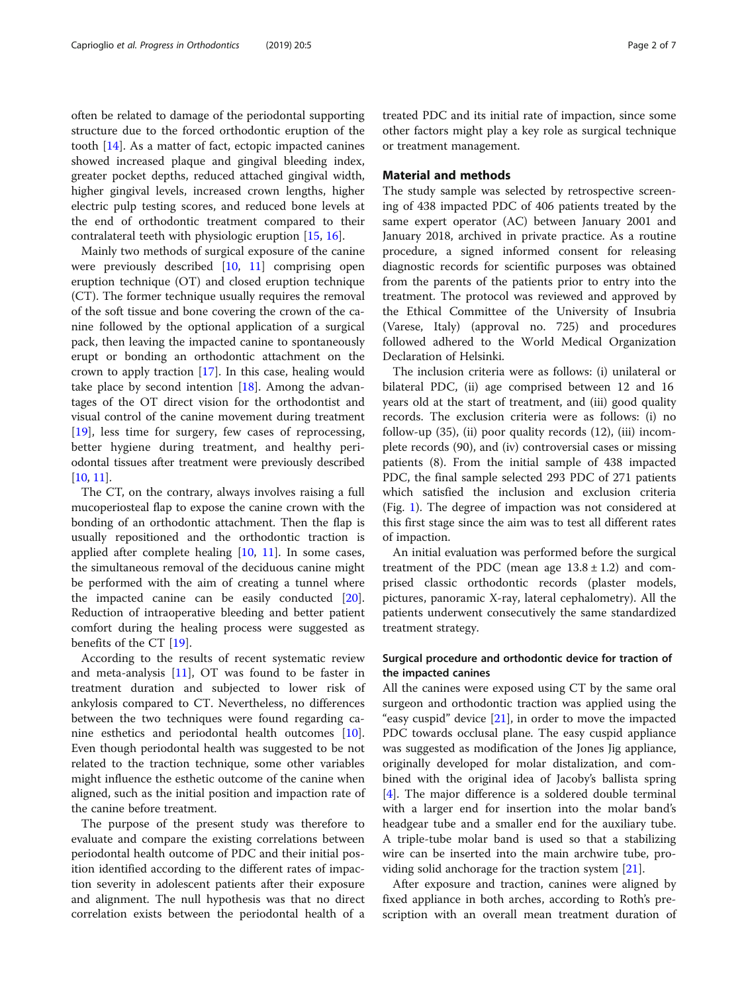often be related to damage of the periodontal supporting structure due to the forced orthodontic eruption of the tooth [[14\]](#page-6-0). As a matter of fact, ectopic impacted canines showed increased plaque and gingival bleeding index, greater pocket depths, reduced attached gingival width, higher gingival levels, increased crown lengths, higher electric pulp testing scores, and reduced bone levels at the end of orthodontic treatment compared to their contralateral teeth with physiologic eruption [[15,](#page-6-0) [16\]](#page-6-0).

Mainly two methods of surgical exposure of the canine were previously described [[10,](#page-6-0) [11](#page-6-0)] comprising open eruption technique (OT) and closed eruption technique (CT). The former technique usually requires the removal of the soft tissue and bone covering the crown of the canine followed by the optional application of a surgical pack, then leaving the impacted canine to spontaneously erupt or bonding an orthodontic attachment on the crown to apply traction [\[17\]](#page-6-0). In this case, healing would take place by second intention [[18\]](#page-6-0). Among the advantages of the OT direct vision for the orthodontist and visual control of the canine movement during treatment [[19\]](#page-6-0), less time for surgery, few cases of reprocessing, better hygiene during treatment, and healthy periodontal tissues after treatment were previously described [[10](#page-6-0), [11\]](#page-6-0).

The CT, on the contrary, always involves raising a full mucoperiosteal flap to expose the canine crown with the bonding of an orthodontic attachment. Then the flap is usually repositioned and the orthodontic traction is applied after complete healing [\[10](#page-6-0), [11](#page-6-0)]. In some cases, the simultaneous removal of the deciduous canine might be performed with the aim of creating a tunnel where the impacted canine can be easily conducted  $[20]$  $[20]$ . Reduction of intraoperative bleeding and better patient comfort during the healing process were suggested as benefits of the CT [[19\]](#page-6-0).

According to the results of recent systematic review and meta-analysis [[11](#page-6-0)], OT was found to be faster in treatment duration and subjected to lower risk of ankylosis compared to CT. Nevertheless, no differences between the two techniques were found regarding canine esthetics and periodontal health outcomes [\[10](#page-6-0)]. Even though periodontal health was suggested to be not related to the traction technique, some other variables might influence the esthetic outcome of the canine when aligned, such as the initial position and impaction rate of the canine before treatment.

The purpose of the present study was therefore to evaluate and compare the existing correlations between periodontal health outcome of PDC and their initial position identified according to the different rates of impaction severity in adolescent patients after their exposure and alignment. The null hypothesis was that no direct correlation exists between the periodontal health of a

treated PDC and its initial rate of impaction, since some other factors might play a key role as surgical technique or treatment management.

## Material and methods

The study sample was selected by retrospective screening of 438 impacted PDC of 406 patients treated by the same expert operator (AC) between January 2001 and January 2018, archived in private practice. As a routine procedure, a signed informed consent for releasing diagnostic records for scientific purposes was obtained from the parents of the patients prior to entry into the treatment. The protocol was reviewed and approved by the Ethical Committee of the University of Insubria (Varese, Italy) (approval no. 725) and procedures followed adhered to the World Medical Organization Declaration of Helsinki.

The inclusion criteria were as follows: (i) unilateral or bilateral PDC, (ii) age comprised between 12 and 16 years old at the start of treatment, and (iii) good quality records. The exclusion criteria were as follows: (i) no follow-up (35), (ii) poor quality records (12), (iii) incomplete records (90), and (iv) controversial cases or missing patients (8). From the initial sample of 438 impacted PDC, the final sample selected 293 PDC of 271 patients which satisfied the inclusion and exclusion criteria (Fig. [1](#page-2-0)). The degree of impaction was not considered at this first stage since the aim was to test all different rates of impaction.

An initial evaluation was performed before the surgical treatment of the PDC (mean age  $13.8 \pm 1.2$ ) and comprised classic orthodontic records (plaster models, pictures, panoramic X-ray, lateral cephalometry). All the patients underwent consecutively the same standardized treatment strategy.

## Surgical procedure and orthodontic device for traction of the impacted canines

All the canines were exposed using CT by the same oral surgeon and orthodontic traction was applied using the "easy cuspid" device  $[21]$  $[21]$  $[21]$ , in order to move the impacted PDC towards occlusal plane. The easy cuspid appliance was suggested as modification of the Jones Jig appliance, originally developed for molar distalization, and combined with the original idea of Jacoby's ballista spring [[4\]](#page-6-0). The major difference is a soldered double terminal with a larger end for insertion into the molar band's headgear tube and a smaller end for the auxiliary tube. A triple-tube molar band is used so that a stabilizing wire can be inserted into the main archwire tube, providing solid anchorage for the traction system [[21](#page-6-0)].

After exposure and traction, canines were aligned by fixed appliance in both arches, according to Roth's prescription with an overall mean treatment duration of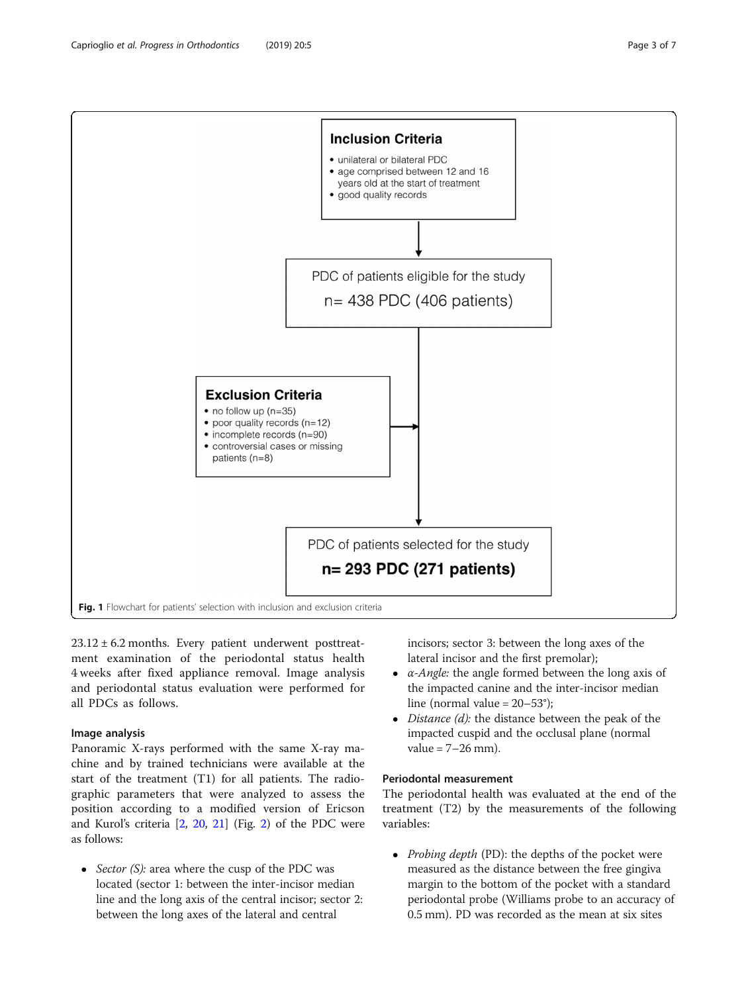<span id="page-2-0"></span>

 $23.12 \pm 6.2$  months. Every patient underwent posttreatment examination of the periodontal status health 4 weeks after fixed appliance removal. Image analysis and periodontal status evaluation were performed for all PDCs as follows.

## Image analysis

Panoramic X-rays performed with the same X-ray machine and by trained technicians were available at the start of the treatment (T1) for all patients. The radiographic parameters that were analyzed to assess the position according to a modified version of Ericson and Kurol's criteria [[2](#page-6-0), [20](#page-6-0), [21](#page-6-0)] (Fig. [2](#page-3-0)) of the PDC were as follows:

• Sector  $(S)$ : area where the cusp of the PDC was located (sector 1: between the inter-incisor median line and the long axis of the central incisor; sector 2: between the long axes of the lateral and central

incisors; sector 3: between the long axes of the lateral incisor and the first premolar);

- $\bullet$  *α-Angle:* the angle formed between the long axis of the impacted canine and the inter-incisor median line (normal value = 20–53°);
- $\bullet$  *Distance (d):* the distance between the peak of the impacted cuspid and the occlusal plane (normal value =  $7-26$  mm).

## Periodontal measurement

The periodontal health was evaluated at the end of the treatment (T2) by the measurements of the following variables:

• Probing depth (PD): the depths of the pocket were measured as the distance between the free gingiva margin to the bottom of the pocket with a standard periodontal probe (Williams probe to an accuracy of 0.5 mm). PD was recorded as the mean at six sites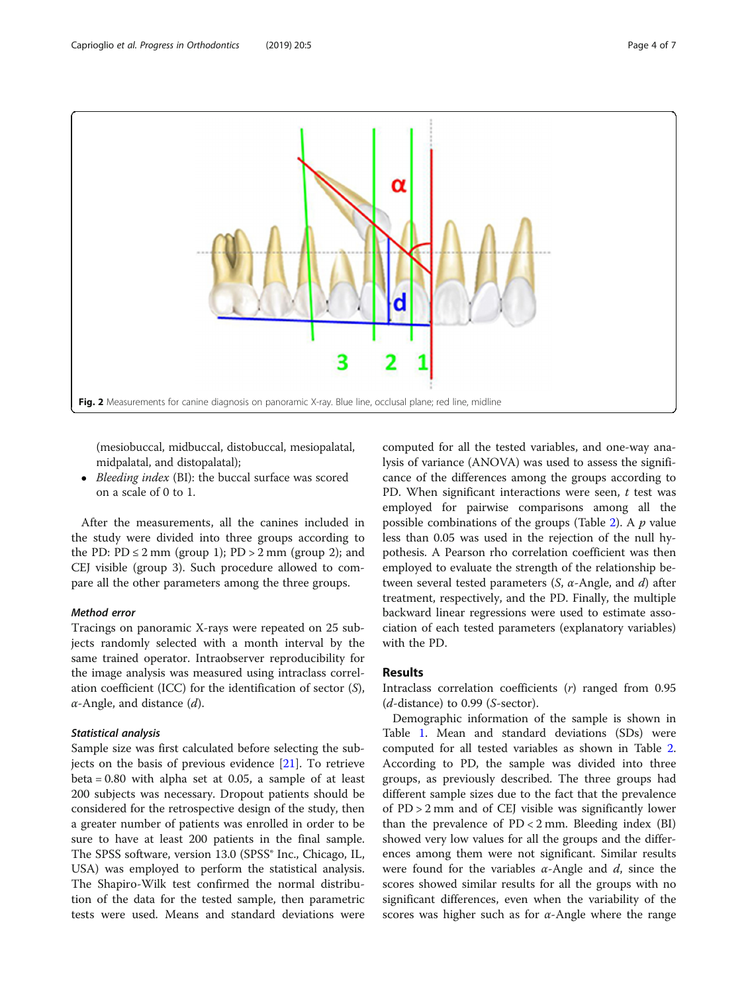<span id="page-3-0"></span>

(mesiobuccal, midbuccal, distobuccal, mesiopalatal, midpalatal, and distopalatal);

• Bleeding index (BI): the buccal surface was scored on a scale of 0 to 1.

After the measurements, all the canines included in the study were divided into three groups according to the PD:  $PD \le 2$  mm (group 1);  $PD > 2$  mm (group 2); and CEJ visible (group 3). Such procedure allowed to compare all the other parameters among the three groups.

## Method error

Tracings on panoramic X-rays were repeated on 25 subjects randomly selected with a month interval by the same trained operator. Intraobserver reproducibility for the image analysis was measured using intraclass correlation coefficient (ICC) for the identification of sector (S),  $\alpha$ -Angle, and distance  $(d)$ .

## Statistical analysis

Sample size was first calculated before selecting the subjects on the basis of previous evidence [\[21](#page-6-0)]. To retrieve beta = 0.80 with alpha set at 0.05, a sample of at least 200 subjects was necessary. Dropout patients should be considered for the retrospective design of the study, then a greater number of patients was enrolled in order to be sure to have at least 200 patients in the final sample. The SPSS software, version 13.0 (SPSS<sup>®</sup> Inc., Chicago, IL, USA) was employed to perform the statistical analysis. The Shapiro-Wilk test confirmed the normal distribution of the data for the tested sample, then parametric tests were used. Means and standard deviations were computed for all the tested variables, and one-way analysis of variance (ANOVA) was used to assess the significance of the differences among the groups according to PD. When significant interactions were seen,  $t$  test was employed for pairwise comparisons among all the possible combinations of the groups (Table [2\)](#page-4-0). A  $p$  value less than 0.05 was used in the rejection of the null hypothesis. A Pearson rho correlation coefficient was then employed to evaluate the strength of the relationship between several tested parameters  $(S, \alpha$ -Angle, and  $d)$  after treatment, respectively, and the PD. Finally, the multiple backward linear regressions were used to estimate association of each tested parameters (explanatory variables) with the PD.

## Results

Intraclass correlation coefficients (r) ranged from 0.95  $(d\text{-distance})$  to 0.99 (S-sector).

Demographic information of the sample is shown in Table [1.](#page-4-0) Mean and standard deviations (SDs) were computed for all tested variables as shown in Table [2](#page-4-0). According to PD, the sample was divided into three groups, as previously described. The three groups had different sample sizes due to the fact that the prevalence of PD > 2 mm and of CEJ visible was significantly lower than the prevalence of  $PD < 2$  mm. Bleeding index (BI) showed very low values for all the groups and the differences among them were not significant. Similar results were found for the variables  $\alpha$ -Angle and  $d$ , since the scores showed similar results for all the groups with no significant differences, even when the variability of the scores was higher such as for  $\alpha$ -Angle where the range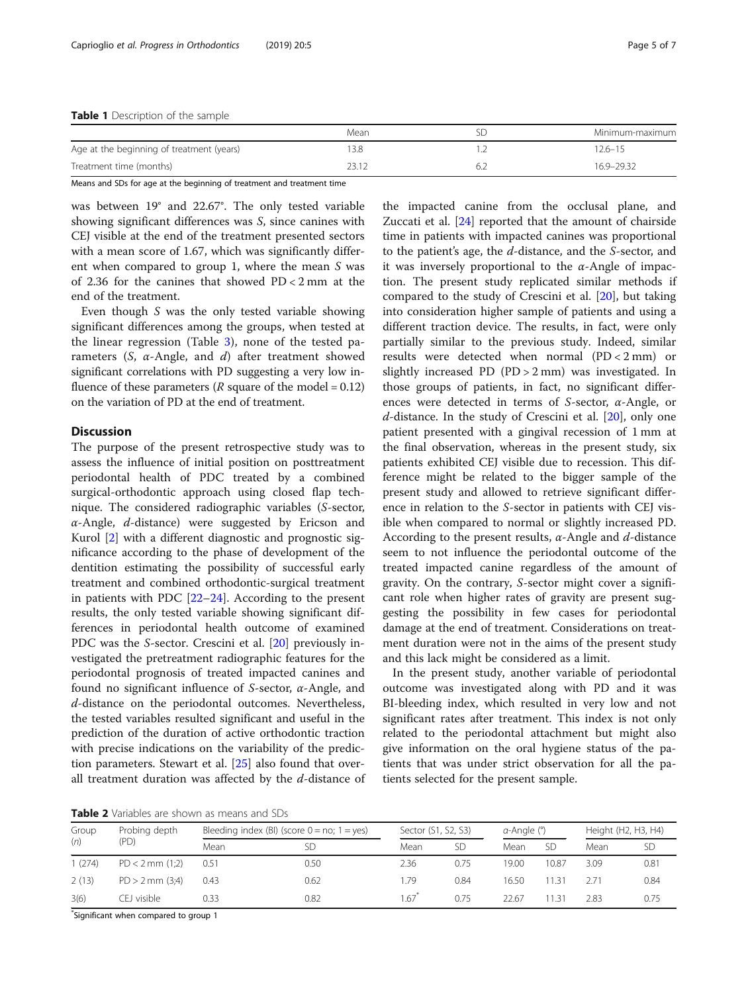<span id="page-4-0"></span>

|                                           | Mean |     | Minimum-maximum |
|-------------------------------------------|------|-----|-----------------|
| Age at the beginning of treatment (years) | 3.8  |     | 12.6–15         |
| Treatment time (months)                   |      | 6.4 | 16.9-29.32      |
|                                           |      |     |                 |

Means and SDs for age at the beginning of treatment and treatment time

was between 19° and 22.67°. The only tested variable showing significant differences was S, since canines with CEJ visible at the end of the treatment presented sectors with a mean score of 1.67, which was significantly different when compared to group 1, where the mean S was of 2.36 for the canines that showed PD < 2 mm at the end of the treatment.

Even though S was the only tested variable showing significant differences among the groups, when tested at the linear regression (Table [3\)](#page-5-0), none of the tested parameters  $(S, \alpha$ -Angle, and  $d)$  after treatment showed significant correlations with PD suggesting a very low influence of these parameters ( $R$  square of the model = 0.12) on the variation of PD at the end of treatment.

## **Discussion**

The purpose of the present retrospective study was to assess the influence of initial position on posttreatment periodontal health of PDC treated by a combined surgical-orthodontic approach using closed flap technique. The considered radiographic variables (S-sector,  $\alpha$ -Angle,  $d$ -distance) were suggested by Ericson and Kurol [[2\]](#page-6-0) with a different diagnostic and prognostic significance according to the phase of development of the dentition estimating the possibility of successful early treatment and combined orthodontic-surgical treatment in patients with PDC [[22](#page-6-0)–[24](#page-6-0)]. According to the present results, the only tested variable showing significant differences in periodontal health outcome of examined PDC was the S-sector. Crescini et al. [\[20](#page-6-0)] previously investigated the pretreatment radiographic features for the periodontal prognosis of treated impacted canines and found no significant influence of S-sector, α-Angle, and d-distance on the periodontal outcomes. Nevertheless, the tested variables resulted significant and useful in the prediction of the duration of active orthodontic traction with precise indications on the variability of the prediction parameters. Stewart et al. [\[25](#page-6-0)] also found that overall treatment duration was affected by the  $d$ -distance of

the impacted canine from the occlusal plane, and Zuccati et al. [\[24](#page-6-0)] reported that the amount of chairside time in patients with impacted canines was proportional to the patient's age, the d-distance, and the S-sector, and it was inversely proportional to the  $\alpha$ -Angle of impaction. The present study replicated similar methods if compared to the study of Crescini et al. [[20\]](#page-6-0), but taking into consideration higher sample of patients and using a different traction device. The results, in fact, were only partially similar to the previous study. Indeed, similar results were detected when normal (PD < 2 mm) or slightly increased PD (PD > 2 mm) was investigated. In those groups of patients, in fact, no significant differences were detected in terms of S-sector, α-Angle, or  $d$ -distance. In the study of Crescini et al.  $[20]$  $[20]$  $[20]$ , only one patient presented with a gingival recession of 1 mm at the final observation, whereas in the present study, six patients exhibited CEJ visible due to recession. This difference might be related to the bigger sample of the present study and allowed to retrieve significant difference in relation to the S-sector in patients with CEJ visible when compared to normal or slightly increased PD. According to the present results,  $\alpha$ -Angle and  $d$ -distance seem to not influence the periodontal outcome of the treated impacted canine regardless of the amount of gravity. On the contrary, S-sector might cover a significant role when higher rates of gravity are present suggesting the possibility in few cases for periodontal damage at the end of treatment. Considerations on treatment duration were not in the aims of the present study and this lack might be considered as a limit.

In the present study, another variable of periodontal outcome was investigated along with PD and it was BI-bleeding index, which resulted in very low and not significant rates after treatment. This index is not only related to the periodontal attachment but might also give information on the oral hygiene status of the patients that was under strict observation for all the patients selected for the present sample.

Table 2 Variables are shown as means and SDs

| Group<br>(n) | Probing depth<br>(PD) | Bleeding index (BI) (score $0 = no$ ; $1 = yes$ ) |      |      | Sector (S1, S2, S3) |       | a-Angle (°) |      | Height (H2, H3, H4) |  |
|--------------|-----------------------|---------------------------------------------------|------|------|---------------------|-------|-------------|------|---------------------|--|
|              |                       | Mean                                              | SD   | Mean | <b>SD</b>           | Mean  | <b>SD</b>   | Mean | <b>SD</b>           |  |
| 1(274)       | $PD < 2$ mm $(1,2)$   | 0.51                                              | 0.50 | 2.36 | 0.75                | 19.00 | 10.87       | 3.09 | 0.81                |  |
| 2(13)        | $PD > 2$ mm $(3;4)$   | 0.43                                              | 0.62 | 1.79 | 0.84                | 16.50 | 11.31       | 2.71 | 0.84                |  |
| 3(6)         | CEJ visible           | 0.33                                              | 0.82 | 1.67 | 0.75                | 22.67 | 11.31       | 2.83 | 0.75                |  |

\* Significant when compared to group 1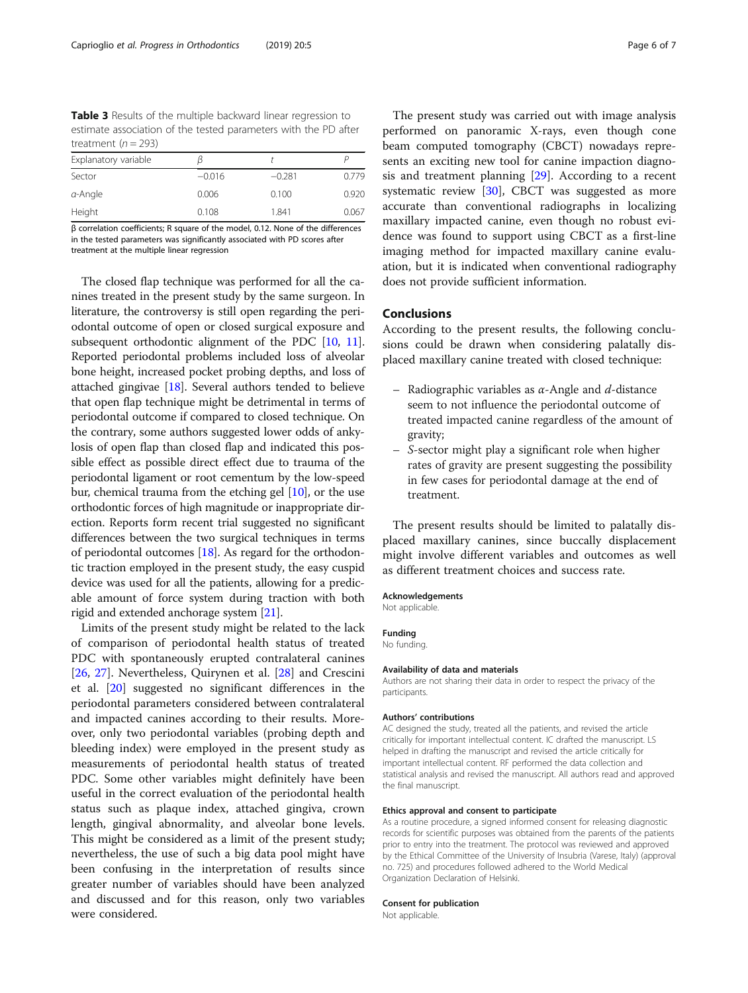<span id="page-5-0"></span>Table 3 Results of the multiple backward linear regression to estimate association of the tested parameters with the PD after treatment ( $n = 293$ )

| Explanatory variable |          |          |       |
|----------------------|----------|----------|-------|
| Sector               | $-0.016$ | $-0.281$ | 0.779 |
| $a$ -Angle           | 0.006    | 0.100    | 0.920 |
| Height               | 0.108    | 1.841    | 0.067 |

β correlation coefficients; R square of the model, 0.12. None of the differences in the tested parameters was significantly associated with PD scores after treatment at the multiple linear regression

The closed flap technique was performed for all the canines treated in the present study by the same surgeon. In literature, the controversy is still open regarding the periodontal outcome of open or closed surgical exposure and subsequent orthodontic alignment of the PDC [\[10,](#page-6-0) [11](#page-6-0)]. Reported periodontal problems included loss of alveolar bone height, increased pocket probing depths, and loss of attached gingivae [\[18\]](#page-6-0). Several authors tended to believe that open flap technique might be detrimental in terms of periodontal outcome if compared to closed technique. On the contrary, some authors suggested lower odds of ankylosis of open flap than closed flap and indicated this possible effect as possible direct effect due to trauma of the periodontal ligament or root cementum by the low-speed bur, chemical trauma from the etching gel [\[10\]](#page-6-0), or the use orthodontic forces of high magnitude or inappropriate direction. Reports form recent trial suggested no significant differences between the two surgical techniques in terms of periodontal outcomes  $[18]$  $[18]$  $[18]$ . As regard for the orthodontic traction employed in the present study, the easy cuspid device was used for all the patients, allowing for a predicable amount of force system during traction with both rigid and extended anchorage system [[21](#page-6-0)].

Limits of the present study might be related to the lack of comparison of periodontal health status of treated PDC with spontaneously erupted contralateral canines [[26,](#page-6-0) [27](#page-6-0)]. Nevertheless, Quirynen et al. [[28\]](#page-6-0) and Crescini et al. [[20](#page-6-0)] suggested no significant differences in the periodontal parameters considered between contralateral and impacted canines according to their results. Moreover, only two periodontal variables (probing depth and bleeding index) were employed in the present study as measurements of periodontal health status of treated PDC. Some other variables might definitely have been useful in the correct evaluation of the periodontal health status such as plaque index, attached gingiva, crown length, gingival abnormality, and alveolar bone levels. This might be considered as a limit of the present study; nevertheless, the use of such a big data pool might have been confusing in the interpretation of results since greater number of variables should have been analyzed and discussed and for this reason, only two variables were considered.

The present study was carried out with image analysis performed on panoramic X-rays, even though cone beam computed tomography (CBCT) nowadays represents an exciting new tool for canine impaction diagnosis and treatment planning [[29\]](#page-6-0). According to a recent systematic review [[30\]](#page-6-0), CBCT was suggested as more accurate than conventional radiographs in localizing maxillary impacted canine, even though no robust evidence was found to support using CBCT as a first-line imaging method for impacted maxillary canine evaluation, but it is indicated when conventional radiography does not provide sufficient information.

## Conclusions

According to the present results, the following conclusions could be drawn when considering palatally displaced maxillary canine treated with closed technique:

- Radiographic variables as  $\alpha$ -Angle and d-distance seem to not influence the periodontal outcome of treated impacted canine regardless of the amount of gravity;
- S-sector might play a significant role when higher rates of gravity are present suggesting the possibility in few cases for periodontal damage at the end of treatment.

The present results should be limited to palatally displaced maxillary canines, since buccally displacement might involve different variables and outcomes as well as different treatment choices and success rate.

## Acknowledgements

Not applicable.

#### Funding

No funding.

#### Availability of data and materials

Authors are not sharing their data in order to respect the privacy of the participants.

#### Authors' contributions

AC designed the study, treated all the patients, and revised the article critically for important intellectual content. IC drafted the manuscript. LS helped in drafting the manuscript and revised the article critically for important intellectual content. RF performed the data collection and statistical analysis and revised the manuscript. All authors read and approved the final manuscript.

#### Ethics approval and consent to participate

As a routine procedure, a signed informed consent for releasing diagnostic records for scientific purposes was obtained from the parents of the patients prior to entry into the treatment. The protocol was reviewed and approved by the Ethical Committee of the University of Insubria (Varese, Italy) (approval no. 725) and procedures followed adhered to the World Medical Organization Declaration of Helsinki.

#### Consent for publication

Not applicable.